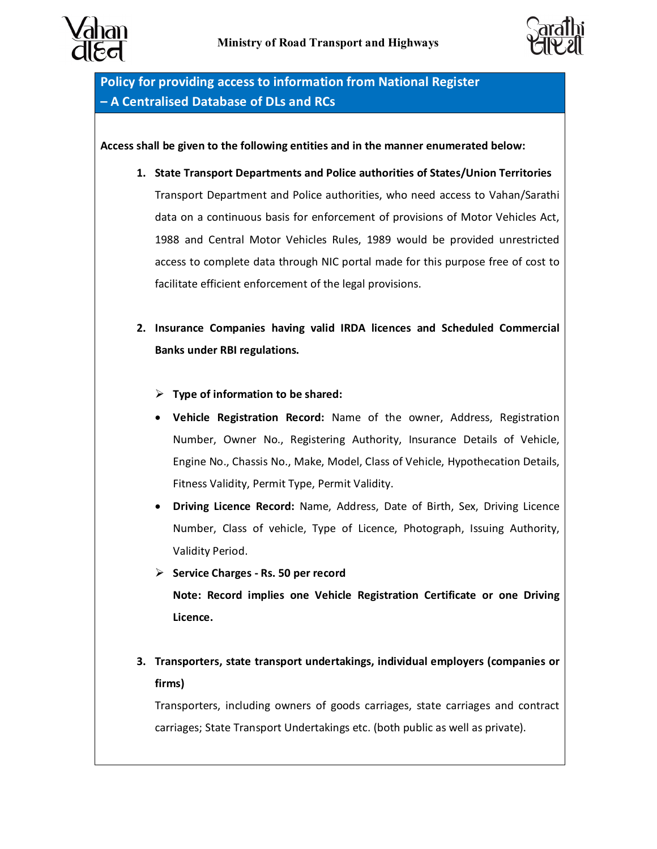



**Policy for providing access to information from National Register – A Centralised Database of DLs and RCs**

**Access shall be given to the following entities and in the manner enumerated below:**

- **1. State Transport Departments and Police authorities of States/Union Territories** Transport Department and Police authorities, who need access to Vahan/Sarathi data on a continuous basis for enforcement of provisions of Motor Vehicles Act, 1988 and Central Motor Vehicles Rules, 1989 would be provided unrestricted access to complete data through NIC portal made for this purpose free of cost to facilitate efficient enforcement of the legal provisions.
- **2. Insurance Companies having valid IRDA licences and Scheduled Commercial Banks under RBI regulations.**
	- ÿ **Type of information to be shared:**
	- · **Vehicle Registration Record:** Name of the owner, Address, Registration Number, Owner No., Registering Authority, Insurance Details of Vehicle, Engine No., Chassis No., Make, Model, Class of Vehicle, Hypothecation Details, Fitness Validity, Permit Type, Permit Validity.
	- · **Driving Licence Record:** Name, Address, Date of Birth, Sex, Driving Licence Number, Class of vehicle, Type of Licence, Photograph, Issuing Authority, Validity Period.
	- ÿ **Service Charges - Rs. 50 per record Note: Record implies one Vehicle Registration Certificate or one Driving Licence.**
- **3. Transporters, state transport undertakings, individual employers (companies or firms)**

Transporters, including owners of goods carriages, state carriages and contract carriages; State Transport Undertakings etc. (both public as well as private).